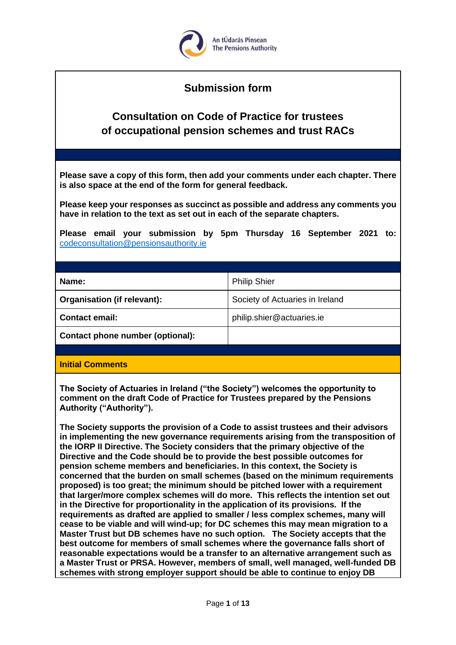

# **Submission form**

# **Consultation on Code of Practice for trustees of occupational pension schemes and trust RACs**

**Please save a copy of this form, then add your comments under each chapter. There is also space at the end of the form for general feedback.**

**Please keep your responses as succinct as possible and address any comments you have in relation to the text as set out in each of the separate chapters.** 

**Please email your submission by 5pm Thursday 16 September 2021 to:** [codeconsultation@pensionsauthority.ie](mailto:codeconsultation@pensionsauthority.ie)

| Name:                              | <b>Philip Shier</b>             |
|------------------------------------|---------------------------------|
| <b>Organisation (if relevant):</b> | Society of Actuaries in Ireland |
| Contact email:                     | philip.shier@actuaries.ie       |
| Contact phone number (optional):   |                                 |
|                                    |                                 |

#### **Initial Comments**

**The Society of Actuaries in Ireland ("the Society") welcomes the opportunity to comment on the draft Code of Practice for Trustees prepared by the Pensions Authority ("Authority").** 

**The Society supports the provision of a Code to assist trustees and their advisors in implementing the new governance requirements arising from the transposition of the IORP II Directive. The Society considers that the primary objective of the Directive and the Code should be to provide the best possible outcomes for pension scheme members and beneficiaries. In this context, the Society is concerned that the burden on small schemes (based on the minimum requirements proposed) is too great; the minimum should be pitched lower with a requirement that larger/more complex schemes will do more. This reflects the intention set out in the Directive for proportionality in the application of its provisions. If the requirements as drafted are applied to smaller / less complex schemes, many will cease to be viable and will wind-up; for DC schemes this may mean migration to a Master Trust but DB schemes have no such option. The Society accepts that the best outcome for members of small schemes where the governance falls short of reasonable expectations would be a transfer to an alternative arrangement such as a Master Trust or PRSA. However, members of small, well managed, well-funded DB schemes with strong employer support should be able to continue to enjoy DB**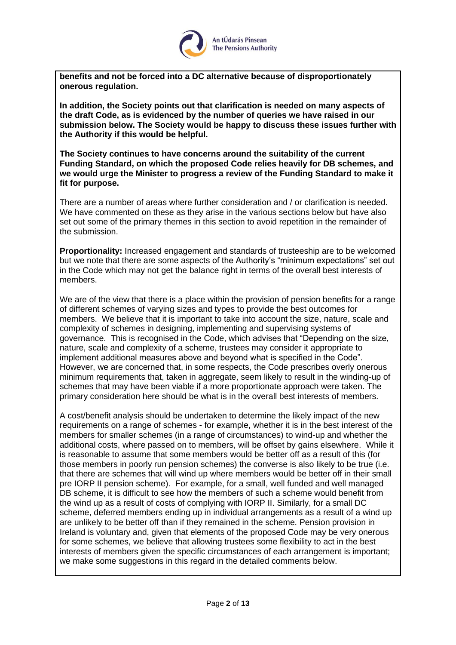

**benefits and not be forced into a DC alternative because of disproportionately onerous regulation.**

**In addition, the Society points out that clarification is needed on many aspects of the draft Code, as is evidenced by the number of queries we have raised in our submission below. The Society would be happy to discuss these issues further with the Authority if this would be helpful.**

**The Society continues to have concerns around the suitability of the current Funding Standard, on which the proposed Code relies heavily for DB schemes, and we would urge the Minister to progress a review of the Funding Standard to make it fit for purpose.**

There are a number of areas where further consideration and / or clarification is needed. We have commented on these as they arise in the various sections below but have also set out some of the primary themes in this section to avoid repetition in the remainder of the submission.

**Proportionality:** Increased engagement and standards of trusteeship are to be welcomed but we note that there are some aspects of the Authority's "minimum expectations" set out in the Code which may not get the balance right in terms of the overall best interests of members.

We are of the view that there is a place within the provision of pension benefits for a range of different schemes of varying sizes and types to provide the best outcomes for members. We believe that it is important to take into account the size, nature, scale and complexity of schemes in designing, implementing and supervising systems of governance. This is recognised in the Code, which advises that "Depending on the size, nature, scale and complexity of a scheme, trustees may consider it appropriate to implement additional measures above and beyond what is specified in the Code". However, we are concerned that, in some respects, the Code prescribes overly onerous minimum requirements that, taken in aggregate, seem likely to result in the winding-up of schemes that may have been viable if a more proportionate approach were taken. The primary consideration here should be what is in the overall best interests of members.

A cost/benefit analysis should be undertaken to determine the likely impact of the new requirements on a range of schemes - for example, whether it is in the best interest of the members for smaller schemes (in a range of circumstances) to wind-up and whether the additional costs, where passed on to members, will be offset by gains elsewhere. While it is reasonable to assume that some members would be better off as a result of this (for those members in poorly run pension schemes) the converse is also likely to be true (i.e. that there are schemes that will wind up where members would be better off in their small pre IORP II pension scheme). For example, for a small, well funded and well managed DB scheme, it is difficult to see how the members of such a scheme would benefit from the wind up as a result of costs of complying with IORP II. Similarly, for a small DC scheme, deferred members ending up in individual arrangements as a result of a wind up are unlikely to be better off than if they remained in the scheme. Pension provision in Ireland is voluntary and, given that elements of the proposed Code may be very onerous for some schemes, we believe that allowing trustees some flexibility to act in the best interests of members given the specific circumstances of each arrangement is important; we make some suggestions in this regard in the detailed comments below.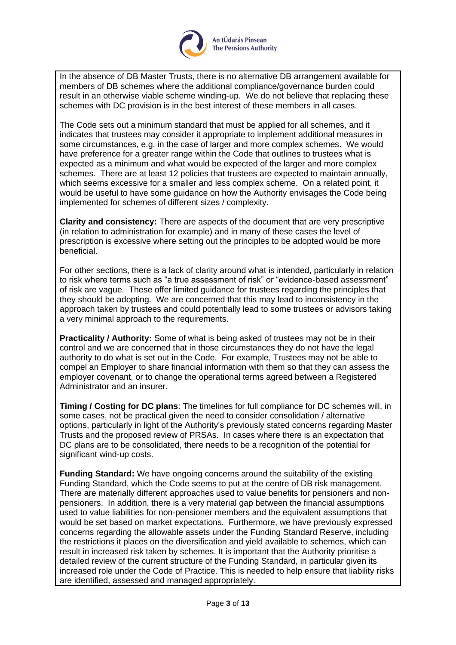

In the absence of DB Master Trusts, there is no alternative DB arrangement available for members of DB schemes where the additional compliance/governance burden could result in an otherwise viable scheme winding-up. We do not believe that replacing these schemes with DC provision is in the best interest of these members in all cases.

The Code sets out a minimum standard that must be applied for all schemes, and it indicates that trustees may consider it appropriate to implement additional measures in some circumstances, e.g. in the case of larger and more complex schemes. We would have preference for a greater range within the Code that outlines to trustees what is expected as a minimum and what would be expected of the larger and more complex schemes. There are at least 12 policies that trustees are expected to maintain annually, which seems excessive for a smaller and less complex scheme. On a related point, it would be useful to have some guidance on how the Authority envisages the Code being implemented for schemes of different sizes / complexity.

**Clarity and consistency:** There are aspects of the document that are very prescriptive (in relation to administration for example) and in many of these cases the level of prescription is excessive where setting out the principles to be adopted would be more beneficial.

For other sections, there is a lack of clarity around what is intended, particularly in relation to risk where terms such as "a true assessment of risk" or "evidence-based assessment" of risk are vague. These offer limited guidance for trustees regarding the principles that they should be adopting. We are concerned that this may lead to inconsistency in the approach taken by trustees and could potentially lead to some trustees or advisors taking a very minimal approach to the requirements.

**Practicality / Authority:** Some of what is being asked of trustees may not be in their control and we are concerned that in those circumstances they do not have the legal authority to do what is set out in the Code. For example, Trustees may not be able to compel an Employer to share financial information with them so that they can assess the employer covenant, or to change the operational terms agreed between a Registered Administrator and an insurer.

**Timing / Costing for DC plans**: The timelines for full compliance for DC schemes will, in some cases, not be practical given the need to consider consolidation / alternative options, particularly in light of the Authority's previously stated concerns regarding Master Trusts and the proposed review of PRSAs. In cases where there is an expectation that DC plans are to be consolidated, there needs to be a recognition of the potential for significant wind-up costs.

**Funding Standard:** We have ongoing concerns around the suitability of the existing Funding Standard, which the Code seems to put at the centre of DB risk management. There are materially different approaches used to value benefits for pensioners and nonpensioners. In addition, there is a very material gap between the financial assumptions used to value liabilities for non-pensioner members and the equivalent assumptions that would be set based on market expectations. Furthermore, we have previously expressed concerns regarding the allowable assets under the Funding Standard Reserve, including the restrictions it places on the diversification and yield available to schemes, which can result in increased risk taken by schemes. It is important that the Authority prioritise a detailed review of the current structure of the Funding Standard, in particular given its increased role under the Code of Practice. This is needed to help ensure that liability risks are identified, assessed and managed appropriately.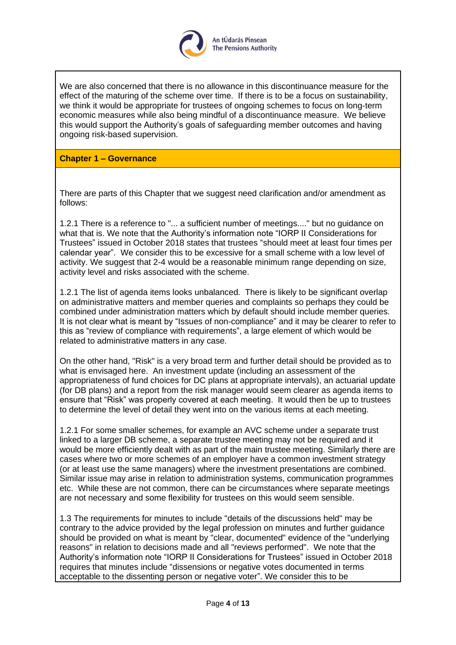

We are also concerned that there is no allowance in this discontinuance measure for the effect of the maturing of the scheme over time. If there is to be a focus on sustainability, we think it would be appropriate for trustees of ongoing schemes to focus on long-term economic measures while also being mindful of a discontinuance measure. We believe this would support the Authority's goals of safeguarding member outcomes and having ongoing risk-based supervision.

## **Chapter 1 – Governance**

There are parts of this Chapter that we suggest need clarification and/or amendment as follows:

1.2.1 There is a reference to "... a sufficient number of meetings...." but no guidance on what that is. We note that the Authority's information note "IORP II Considerations for Trustees" issued in October 2018 states that trustees "should meet at least four times per calendar year". We consider this to be excessive for a small scheme with a low level of activity. We suggest that 2-4 would be a reasonable minimum range depending on size, activity level and risks associated with the scheme.

1.2.1 The list of agenda items looks unbalanced. There is likely to be significant overlap on administrative matters and member queries and complaints so perhaps they could be combined under administration matters which by default should include member queries. It is not clear what is meant by "Issues of non-compliance" and it may be clearer to refer to this as "review of compliance with requirements", a large element of which would be related to administrative matters in any case.

On the other hand, "Risk" is a very broad term and further detail should be provided as to what is envisaged here. An investment update (including an assessment of the appropriateness of fund choices for DC plans at appropriate intervals), an actuarial update (for DB plans) and a report from the risk manager would seem clearer as agenda items to ensure that "Risk" was properly covered at each meeting. It would then be up to trustees to determine the level of detail they went into on the various items at each meeting.

1.2.1 For some smaller schemes, for example an AVC scheme under a separate trust linked to a larger DB scheme, a separate trustee meeting may not be required and it would be more efficiently dealt with as part of the main trustee meeting. Similarly there are cases where two or more schemes of an employer have a common investment strategy (or at least use the same managers) where the investment presentations are combined. Similar issue may arise in relation to administration systems, communication programmes etc. While these are not common, there can be circumstances where separate meetings are not necessary and some flexibility for trustees on this would seem sensible.

1.3 The requirements for minutes to include "details of the discussions held" may be contrary to the advice provided by the legal profession on minutes and further guidance should be provided on what is meant by "clear, documented" evidence of the "underlying reasons" in relation to decisions made and all "reviews performed". We note that the Authority's information note "IORP II Considerations for Trustees" issued in October 2018 requires that minutes include "dissensions or negative votes documented in terms acceptable to the dissenting person or negative voter". We consider this to be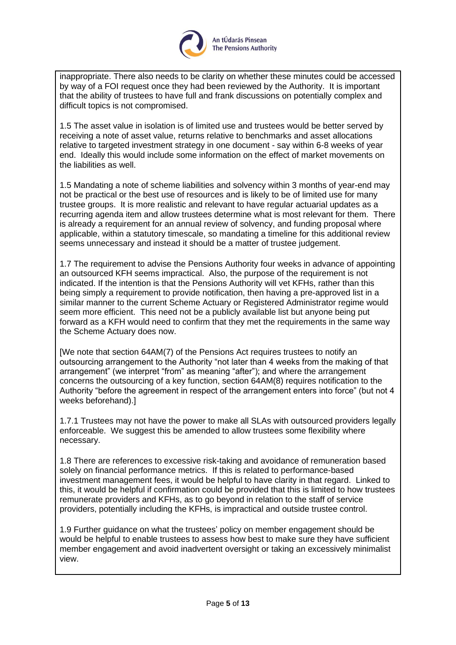

inappropriate. There also needs to be clarity on whether these minutes could be accessed by way of a FOI request once they had been reviewed by the Authority. It is important that the ability of trustees to have full and frank discussions on potentially complex and difficult topics is not compromised.

1.5 The asset value in isolation is of limited use and trustees would be better served by receiving a note of asset value, returns relative to benchmarks and asset allocations relative to targeted investment strategy in one document - say within 6-8 weeks of year end. Ideally this would include some information on the effect of market movements on the liabilities as well.

1.5 Mandating a note of scheme liabilities and solvency within 3 months of year-end may not be practical or the best use of resources and is likely to be of limited use for many trustee groups. It is more realistic and relevant to have regular actuarial updates as a recurring agenda item and allow trustees determine what is most relevant for them. There is already a requirement for an annual review of solvency, and funding proposal where applicable, within a statutory timescale, so mandating a timeline for this additional review seems unnecessary and instead it should be a matter of trustee judgement.

1.7 The requirement to advise the Pensions Authority four weeks in advance of appointing an outsourced KFH seems impractical. Also, the purpose of the requirement is not indicated. If the intention is that the Pensions Authority will vet KFHs, rather than this being simply a requirement to provide notification, then having a pre-approved list in a similar manner to the current Scheme Actuary or Registered Administrator regime would seem more efficient. This need not be a publicly available list but anyone being put forward as a KFH would need to confirm that they met the requirements in the same way the Scheme Actuary does now.

[We note that section 64AM(7) of the Pensions Act requires trustees to notify an outsourcing arrangement to the Authority "not later than 4 weeks from the making of that arrangement" (we interpret "from" as meaning "after"); and where the arrangement concerns the outsourcing of a key function, section 64AM(8) requires notification to the Authority "before the agreement in respect of the arrangement enters into force" (but not 4 weeks beforehand).]

1.7.1 Trustees may not have the power to make all SLAs with outsourced providers legally enforceable. We suggest this be amended to allow trustees some flexibility where necessary.

1.8 There are references to excessive risk-taking and avoidance of remuneration based solely on financial performance metrics. If this is related to performance-based investment management fees, it would be helpful to have clarity in that regard. Linked to this, it would be helpful if confirmation could be provided that this is limited to how trustees remunerate providers and KFHs, as to go beyond in relation to the staff of service providers, potentially including the KFHs, is impractical and outside trustee control.

1.9 Further guidance on what the trustees' policy on member engagement should be would be helpful to enable trustees to assess how best to make sure they have sufficient member engagement and avoid inadvertent oversight or taking an excessively minimalist view.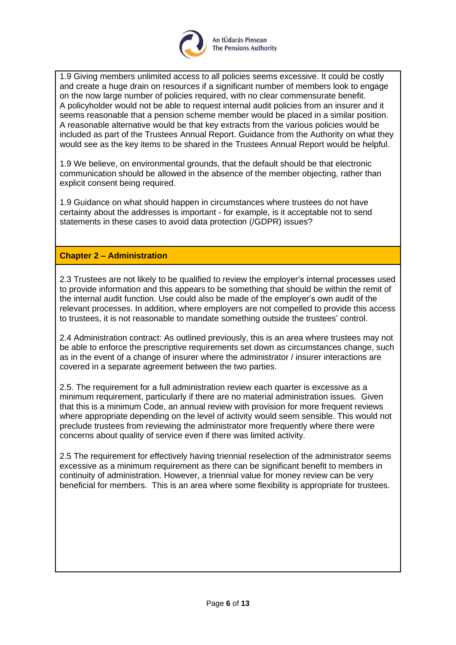

1.9 Giving members unlimited access to all policies seems excessive. It could be costly and create a huge drain on resources if a significant number of members look to engage on the now large number of policies required, with no clear commensurate benefit. A policyholder would not be able to request internal audit policies from an insurer and it seems reasonable that a pension scheme member would be placed in a similar position. A reasonable alternative would be that key extracts from the various policies would be included as part of the Trustees Annual Report. Guidance from the Authority on what they would see as the key items to be shared in the Trustees Annual Report would be helpful.

1.9 We believe, on environmental grounds, that the default should be that electronic communication should be allowed in the absence of the member objecting, rather than explicit consent being required.

1.9 Guidance on what should happen in circumstances where trustees do not have certainty about the addresses is important - for example, is it acceptable not to send statements in these cases to avoid data protection (/GDPR) issues?

# **Chapter 2 – Administration**

2.3 Trustees are not likely to be qualified to review the employer's internal processes used to provide information and this appears to be something that should be within the remit of the internal audit function. Use could also be made of the employer's own audit of the relevant processes. In addition, where employers are not compelled to provide this access to trustees, it is not reasonable to mandate something outside the trustees' control.

2.4 Administration contract: As outlined previously, this is an area where trustees may not be able to enforce the prescriptive requirements set down as circumstances change, such as in the event of a change of insurer where the administrator / insurer interactions are covered in a separate agreement between the two parties.

2.5. The requirement for a full administration review each quarter is excessive as a minimum requirement, particularly if there are no material administration issues. Given that this is a minimum Code, an annual review with provision for more frequent reviews where appropriate depending on the level of activity would seem sensible. This would not preclude trustees from reviewing the administrator more frequently where there were concerns about quality of service even if there was limited activity.

2.5 The requirement for effectively having triennial reselection of the administrator seems excessive as a minimum requirement as there can be significant benefit to members in continuity of administration. However, a triennial value for money review can be very beneficial for members. This is an area where some flexibility is appropriate for trustees.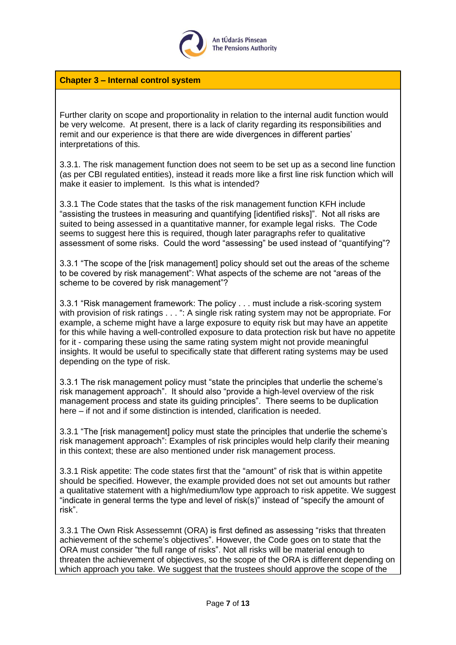

**Chapter 3 – Internal control system**

Further clarity on scope and proportionality in relation to the internal audit function would be very welcome. At present, there is a lack of clarity regarding its responsibilities and remit and our experience is that there are wide divergences in different parties' interpretations of this.

3.3.1. The risk management function does not seem to be set up as a second line function (as per CBI regulated entities), instead it reads more like a first line risk function which will make it easier to implement. Is this what is intended?

3.3.1 The Code states that the tasks of the risk management function KFH include "assisting the trustees in measuring and quantifying [identified risks]". Not all risks are suited to being assessed in a quantitative manner, for example legal risks. The Code seems to suggest here this is required, though later paragraphs refer to qualitative assessment of some risks. Could the word "assessing" be used instead of "quantifying"?

3.3.1 "The scope of the [risk management] policy should set out the areas of the scheme to be covered by risk management": What aspects of the scheme are not "areas of the scheme to be covered by risk management"?

3.3.1 "Risk management framework: The policy . . . must include a risk-scoring system with provision of risk ratings . . . ": A single risk rating system may not be appropriate. For example, a scheme might have a large exposure to equity risk but may have an appetite for this while having a well-controlled exposure to data protection risk but have no appetite for it - comparing these using the same rating system might not provide meaningful insights. It would be useful to specifically state that different rating systems may be used depending on the type of risk.

3.3.1 The risk management policy must "state the principles that underlie the scheme's risk management approach". It should also "provide a high-level overview of the risk management process and state its guiding principles". There seems to be duplication here – if not and if some distinction is intended, clarification is needed.

3.3.1 "The [risk management] policy must state the principles that underlie the scheme's risk management approach": Examples of risk principles would help clarify their meaning in this context; these are also mentioned under risk management process.

3.3.1 Risk appetite: The code states first that the "amount" of risk that is within appetite should be specified. However, the example provided does not set out amounts but rather a qualitative statement with a high/medium/low type approach to risk appetite. We suggest "indicate in general terms the type and level of risk(s)" instead of "specify the amount of risk".

3.3.1 The Own Risk Assessemnt (ORA) is first defined as assessing "risks that threaten achievement of the scheme's objectives". However, the Code goes on to state that the ORA must consider "the full range of risks". Not all risks will be material enough to threaten the achievement of objectives, so the scope of the ORA is different depending on which approach you take. We suggest that the trustees should approve the scope of the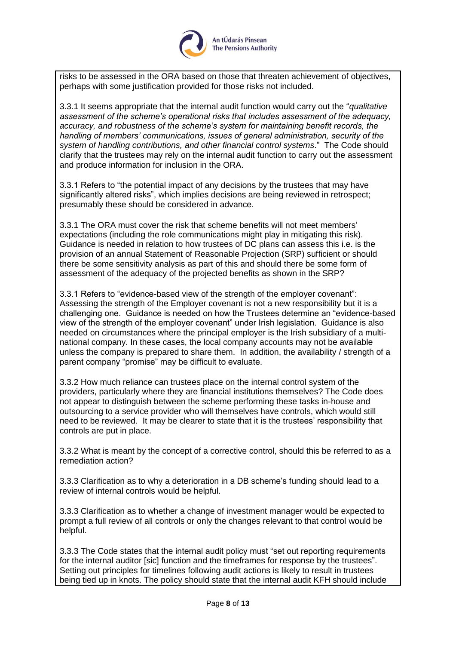

risks to be assessed in the ORA based on those that threaten achievement of objectives, perhaps with some justification provided for those risks not included.

3.3.1 It seems appropriate that the internal audit function would carry out the "*qualitative assessment of the scheme's operational risks that includes assessment of the adequacy, accuracy, and robustness of the scheme's system for maintaining benefit records, the handling of members' communications, issues of general administration, security of the system of handling contributions, and other financial control systems*." The Code should clarify that the trustees may rely on the internal audit function to carry out the assessment and produce information for inclusion in the ORA.

3.3.1 Refers to "the potential impact of any decisions by the trustees that may have significantly altered risks", which implies decisions are being reviewed in retrospect; presumably these should be considered in advance.

3.3.1 The ORA must cover the risk that scheme benefits will not meet members' expectations (including the role communications might play in mitigating this risk). Guidance is needed in relation to how trustees of DC plans can assess this i.e. is the provision of an annual Statement of Reasonable Projection (SRP) sufficient or should there be some sensitivity analysis as part of this and should there be some form of assessment of the adequacy of the projected benefits as shown in the SRP?

3.3.1 Refers to "evidence-based view of the strength of the employer covenant": Assessing the strength of the Employer covenant is not a new responsibility but it is a challenging one. Guidance is needed on how the Trustees determine an "evidence-based view of the strength of the employer covenant" under Irish legislation. Guidance is also needed on circumstances where the principal employer is the Irish subsidiary of a multinational company. In these cases, the local company accounts may not be available unless the company is prepared to share them. In addition, the availability / strength of a parent company "promise" may be difficult to evaluate.

3.3.2 How much reliance can trustees place on the internal control system of the providers, particularly where they are financial institutions themselves? The Code does not appear to distinguish between the scheme performing these tasks in-house and outsourcing to a service provider who will themselves have controls, which would still need to be reviewed. It may be clearer to state that it is the trustees' responsibility that controls are put in place.

3.3.2 What is meant by the concept of a corrective control, should this be referred to as a remediation action?

3.3.3 Clarification as to why a deterioration in a DB scheme's funding should lead to a review of internal controls would be helpful.

3.3.3 Clarification as to whether a change of investment manager would be expected to prompt a full review of all controls or only the changes relevant to that control would be helpful.

3.3.3 The Code states that the internal audit policy must "set out reporting requirements for the internal auditor [sic] function and the timeframes for response by the trustees". Setting out principles for timelines following audit actions is likely to result in trustees being tied up in knots. The policy should state that the internal audit KFH should include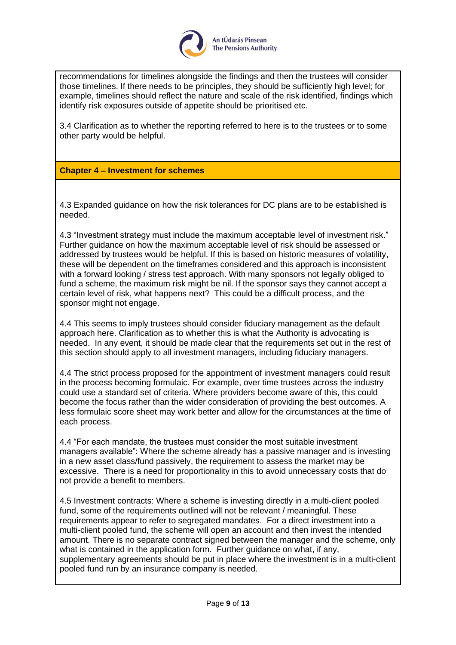

recommendations for timelines alongside the findings and then the trustees will consider those timelines. If there needs to be principles, they should be sufficiently high level; for example, timelines should reflect the nature and scale of the risk identified, findings which identify risk exposures outside of appetite should be prioritised etc.

3.4 Clarification as to whether the reporting referred to here is to the trustees or to some other party would be helpful.

# **Chapter 4 – Investment for schemes**

4.3 Expanded guidance on how the risk tolerances for DC plans are to be established is needed.

4.3 "Investment strategy must include the maximum acceptable level of investment risk." Further guidance on how the maximum acceptable level of risk should be assessed or addressed by trustees would be helpful. If this is based on historic measures of volatility, these will be dependent on the timeframes considered and this approach is inconsistent with a forward looking / stress test approach. With many sponsors not legally obliged to fund a scheme, the maximum risk might be nil. If the sponsor says they cannot accept a certain level of risk, what happens next? This could be a difficult process, and the sponsor might not engage.

4.4 This seems to imply trustees should consider fiduciary management as the default approach here. Clarification as to whether this is what the Authority is advocating is needed. In any event, it should be made clear that the requirements set out in the rest of this section should apply to all investment managers, including fiduciary managers.

4.4 The strict process proposed for the appointment of investment managers could result in the process becoming formulaic. For example, over time trustees across the industry could use a standard set of criteria. Where providers become aware of this, this could become the focus rather than the wider consideration of providing the best outcomes. A less formulaic score sheet may work better and allow for the circumstances at the time of each process.

4.4 "For each mandate, the trustees must consider the most suitable investment managers available": Where the scheme already has a passive manager and is investing in a new asset class/fund passively, the requirement to assess the market may be excessive. There is a need for proportionality in this to avoid unnecessary costs that do not provide a benefit to members.

4.5 Investment contracts: Where a scheme is investing directly in a multi-client pooled fund, some of the requirements outlined will not be relevant / meaningful. These requirements appear to refer to segregated mandates. For a direct investment into a multi-client pooled fund, the scheme will open an account and then invest the intended amount. There is no separate contract signed between the manager and the scheme, only what is contained in the application form. Further guidance on what, if any, supplementary agreements should be put in place where the investment is in a multi-client pooled fund run by an insurance company is needed.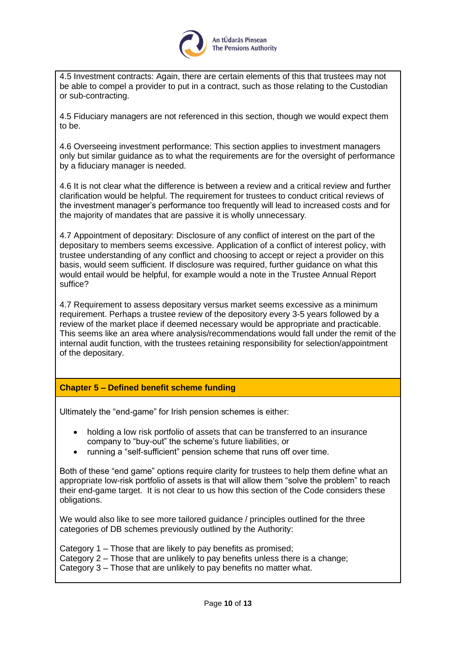

4.5 Investment contracts: Again, there are certain elements of this that trustees may not be able to compel a provider to put in a contract, such as those relating to the Custodian or sub-contracting.

4.5 Fiduciary managers are not referenced in this section, though we would expect them to be.

4.6 Overseeing investment performance: This section applies to investment managers only but similar guidance as to what the requirements are for the oversight of performance by a fiduciary manager is needed.

4.6 It is not clear what the difference is between a review and a critical review and further clarification would be helpful. The requirement for trustees to conduct critical reviews of the investment manager's performance too frequently will lead to increased costs and for the majority of mandates that are passive it is wholly unnecessary*.*

4.7 Appointment of depositary: Disclosure of any conflict of interest on the part of the depositary to members seems excessive. Application of a conflict of interest policy, with trustee understanding of any conflict and choosing to accept or reject a provider on this basis, would seem sufficient. If disclosure was required, further guidance on what this would entail would be helpful, for example would a note in the Trustee Annual Report suffice?

4.7 Requirement to assess depositary versus market seems excessive as a minimum requirement. Perhaps a trustee review of the depository every 3-5 years followed by a review of the market place if deemed necessary would be appropriate and practicable. This seems like an area where analysis/recommendations would fall under the remit of the internal audit function, with the trustees retaining responsibility for selection/appointment of the depositary.

## **Chapter 5 – Defined benefit scheme funding**

Ultimately the "end-game" for Irish pension schemes is either:

- holding a low risk portfolio of assets that can be transferred to an insurance company to "buy-out" the scheme's future liabilities, or
- running a "self-sufficient" pension scheme that runs off over time.

Both of these "end game" options require clarity for trustees to help them define what an appropriate low-risk portfolio of assets is that will allow them "solve the problem" to reach their end-game target. It is not clear to us how this section of the Code considers these obligations.

We would also like to see more tailored guidance / principles outlined for the three categories of DB schemes previously outlined by the Authority:

Category 1 – Those that are likely to pay benefits as promised; Category 2 – Those that are unlikely to pay benefits unless there is a change; Category 3 – Those that are unlikely to pay benefits no matter what.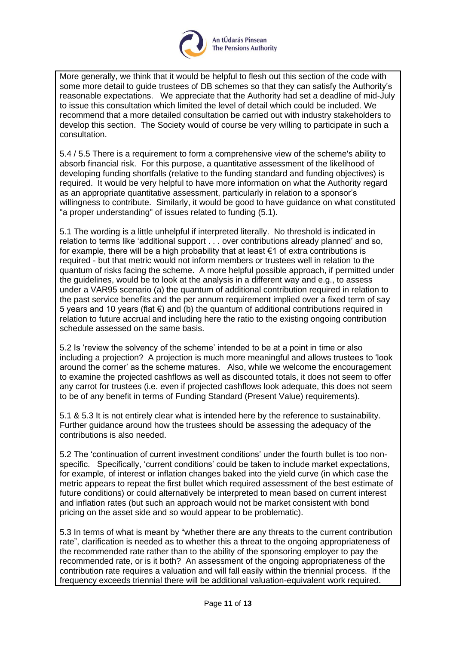

More generally, we think that it would be helpful to flesh out this section of the code with some more detail to guide trustees of DB schemes so that they can satisfy the Authority's reasonable expectations. We appreciate that the Authority had set a deadline of mid-July to issue this consultation which limited the level of detail which could be included. We recommend that a more detailed consultation be carried out with industry stakeholders to develop this section. The Society would of course be very willing to participate in such a consultation.

5.4 / 5.5 There is a requirement to form a comprehensive view of the scheme's ability to absorb financial risk. For this purpose, a quantitative assessment of the likelihood of developing funding shortfalls (relative to the funding standard and funding objectives) is required. It would be very helpful to have more information on what the Authority regard as an appropriate quantitative assessment, particularly in relation to a sponsor's willingness to contribute. Similarly, it would be good to have guidance on what constituted "a proper understanding" of issues related to funding (5.1).

5.1 The wording is a little unhelpful if interpreted literally. No threshold is indicated in relation to terms like 'additional support . . . over contributions already planned' and so, for example, there will be a high probability that at least  $\epsilon$ 1 of extra contributions is required - but that metric would not inform members or trustees well in relation to the quantum of risks facing the scheme. A more helpful possible approach, if permitted under the guidelines, would be to look at the analysis in a different way and e.g., to assess under a VAR95 scenario (a) the quantum of additional contribution required in relation to the past service benefits and the per annum requirement implied over a fixed term of say 5 years and 10 years (flat €) and (b) the quantum of additional contributions required in relation to future accrual and including here the ratio to the existing ongoing contribution schedule assessed on the same basis.

5.2 Is 'review the solvency of the scheme' intended to be at a point in time or also including a projection? A projection is much more meaningful and allows trustees to 'look around the corner' as the scheme matures. Also, while we welcome the encouragement to examine the projected cashflows as well as discounted totals, it does not seem to offer any carrot for trustees (i.e. even if projected cashflows look adequate, this does not seem to be of any benefit in terms of Funding Standard (Present Value) requirements).

5.1 & 5.3 It is not entirely clear what is intended here by the reference to sustainability. Further guidance around how the trustees should be assessing the adequacy of the contributions is also needed.

5.2 The 'continuation of current investment conditions' under the fourth bullet is too nonspecific. Specifically, 'current conditions' could be taken to include market expectations, for example, of interest or inflation changes baked into the yield curve (in which case the metric appears to repeat the first bullet which required assessment of the best estimate of future conditions) or could alternatively be interpreted to mean based on current interest and inflation rates (but such an approach would not be market consistent with bond pricing on the asset side and so would appear to be problematic).

5.3 In terms of what is meant by "whether there are any threats to the current contribution rate", clarification is needed as to whether this a threat to the ongoing appropriateness of the recommended rate rather than to the ability of the sponsoring employer to pay the recommended rate, or is it both? An assessment of the ongoing appropriateness of the contribution rate requires a valuation and will fall easily within the triennial process. If the frequency exceeds triennial there will be additional valuation-equivalent work required.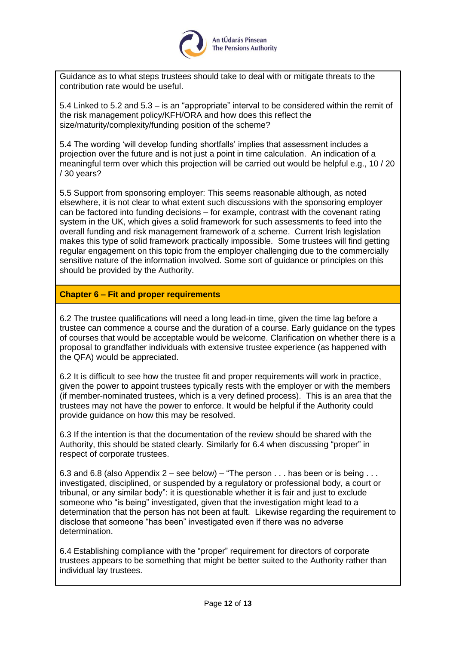

Guidance as to what steps trustees should take to deal with or mitigate threats to the contribution rate would be useful.

5.4 Linked to 5.2 and 5.3 – is an "appropriate" interval to be considered within the remit of the risk management policy/KFH/ORA and how does this reflect the size/maturity/complexity/funding position of the scheme?

5.4 The wording 'will develop funding shortfalls' implies that assessment includes a projection over the future and is not just a point in time calculation. An indication of a meaningful term over which this projection will be carried out would be helpful e.g., 10 / 20 / 30 years?

5.5 Support from sponsoring employer: This seems reasonable although, as noted elsewhere, it is not clear to what extent such discussions with the sponsoring employer can be factored into funding decisions – for example, contrast with the covenant rating system in the UK, which gives a solid framework for such assessments to feed into the overall funding and risk management framework of a scheme. Current Irish legislation makes this type of solid framework practically impossible. Some trustees will find getting regular engagement on this topic from the employer challenging due to the commercially sensitive nature of the information involved. Some sort of guidance or principles on this should be provided by the Authority.

### **Chapter 6 – Fit and proper requirements**

6.2 The trustee qualifications will need a long lead-in time, given the time lag before a trustee can commence a course and the duration of a course. Early guidance on the types of courses that would be acceptable would be welcome. Clarification on whether there is a proposal to grandfather individuals with extensive trustee experience (as happened with the QFA) would be appreciated.

6.2 It is difficult to see how the trustee fit and proper requirements will work in practice, given the power to appoint trustees typically rests with the employer or with the members (if member-nominated trustees, which is a very defined process). This is an area that the trustees may not have the power to enforce. It would be helpful if the Authority could provide guidance on how this may be resolved.

6.3 If the intention is that the documentation of the review should be shared with the Authority, this should be stated clearly. Similarly for 6.4 when discussing "proper" in respect of corporate trustees.

6.3 and 6.8 (also Appendix 2 – see below) – "The person  $\dots$  has been or is being  $\dots$ investigated, disciplined, or suspended by a regulatory or professional body, a court or tribunal, or any similar body": it is questionable whether it is fair and just to exclude someone who "is being" investigated, given that the investigation might lead to a determination that the person has not been at fault. Likewise regarding the requirement to disclose that someone "has been" investigated even if there was no adverse determination.

6.4 Establishing compliance with the "proper" requirement for directors of corporate trustees appears to be something that might be better suited to the Authority rather than individual lay trustees.